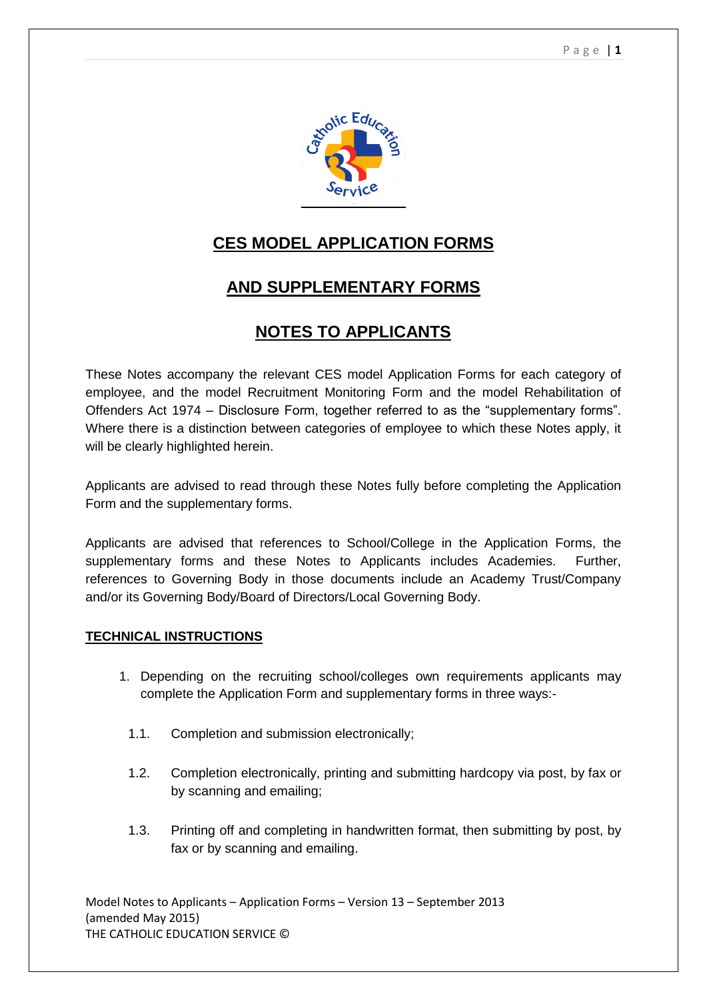

# **CES MODEL APPLICATION FORMS**

# **AND SUPPLEMENTARY FORMS**

# **NOTES TO APPLICANTS**

These Notes accompany the relevant CES model Application Forms for each category of employee, and the model Recruitment Monitoring Form and the model Rehabilitation of Offenders Act 1974 – Disclosure Form, together referred to as the "supplementary forms". Where there is a distinction between categories of employee to which these Notes apply, it will be clearly highlighted herein.

Applicants are advised to read through these Notes fully before completing the Application Form and the supplementary forms.

Applicants are advised that references to School/College in the Application Forms, the supplementary forms and these Notes to Applicants includes Academies. Further, references to Governing Body in those documents include an Academy Trust/Company and/or its Governing Body/Board of Directors/Local Governing Body.

# **TECHNICAL INSTRUCTIONS**

- 1. Depending on the recruiting school/colleges own requirements applicants may complete the Application Form and supplementary forms in three ways:-
	- 1.1. Completion and submission electronically;
	- 1.2. Completion electronically, printing and submitting hardcopy via post, by fax or by scanning and emailing;
	- 1.3. Printing off and completing in handwritten format, then submitting by post, by fax or by scanning and emailing.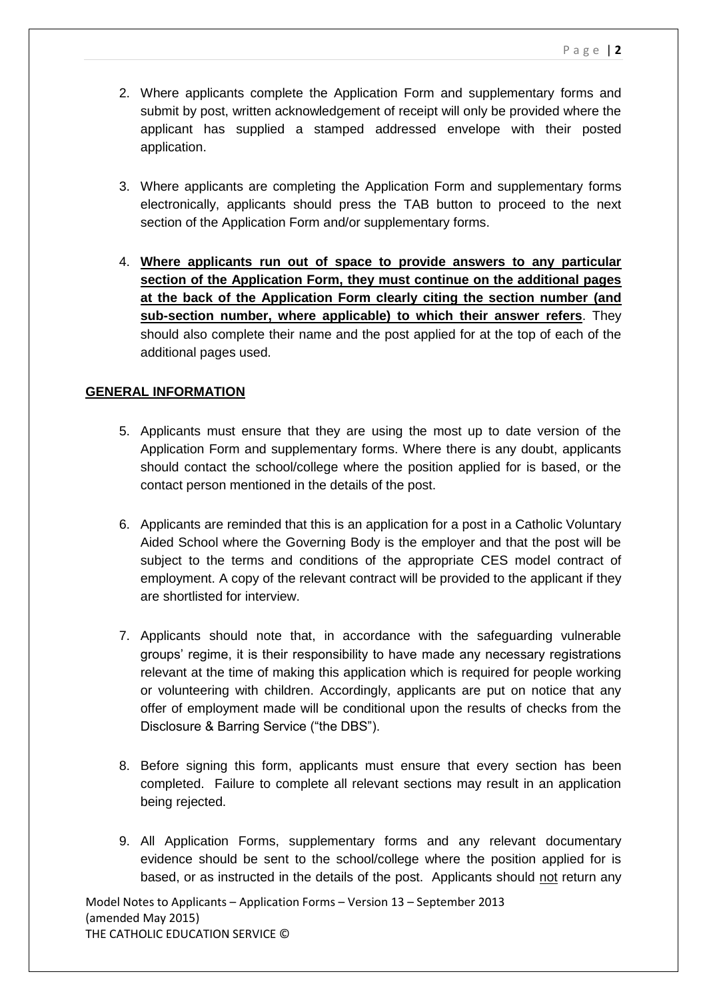- 2. Where applicants complete the Application Form and supplementary forms and submit by post, written acknowledgement of receipt will only be provided where the applicant has supplied a stamped addressed envelope with their posted application.
- 3. Where applicants are completing the Application Form and supplementary forms electronically, applicants should press the TAB button to proceed to the next section of the Application Form and/or supplementary forms.
- 4. **Where applicants run out of space to provide answers to any particular section of the Application Form, they must continue on the additional pages at the back of the Application Form clearly citing the section number (and sub-section number, where applicable) to which their answer refers**. They should also complete their name and the post applied for at the top of each of the additional pages used.

## **GENERAL INFORMATION**

- 5. Applicants must ensure that they are using the most up to date version of the Application Form and supplementary forms. Where there is any doubt, applicants should contact the school/college where the position applied for is based, or the contact person mentioned in the details of the post.
- 6. Applicants are reminded that this is an application for a post in a Catholic Voluntary Aided School where the Governing Body is the employer and that the post will be subject to the terms and conditions of the appropriate CES model contract of employment. A copy of the relevant contract will be provided to the applicant if they are shortlisted for interview.
- 7. Applicants should note that, in accordance with the safeguarding vulnerable groups' regime, it is their responsibility to have made any necessary registrations relevant at the time of making this application which is required for people working or volunteering with children. Accordingly, applicants are put on notice that any offer of employment made will be conditional upon the results of checks from the Disclosure & Barring Service ("the DBS").
- 8. Before signing this form, applicants must ensure that every section has been completed. Failure to complete all relevant sections may result in an application being rejected.
- 9. All Application Forms, supplementary forms and any relevant documentary evidence should be sent to the school/college where the position applied for is based, or as instructed in the details of the post. Applicants should not return any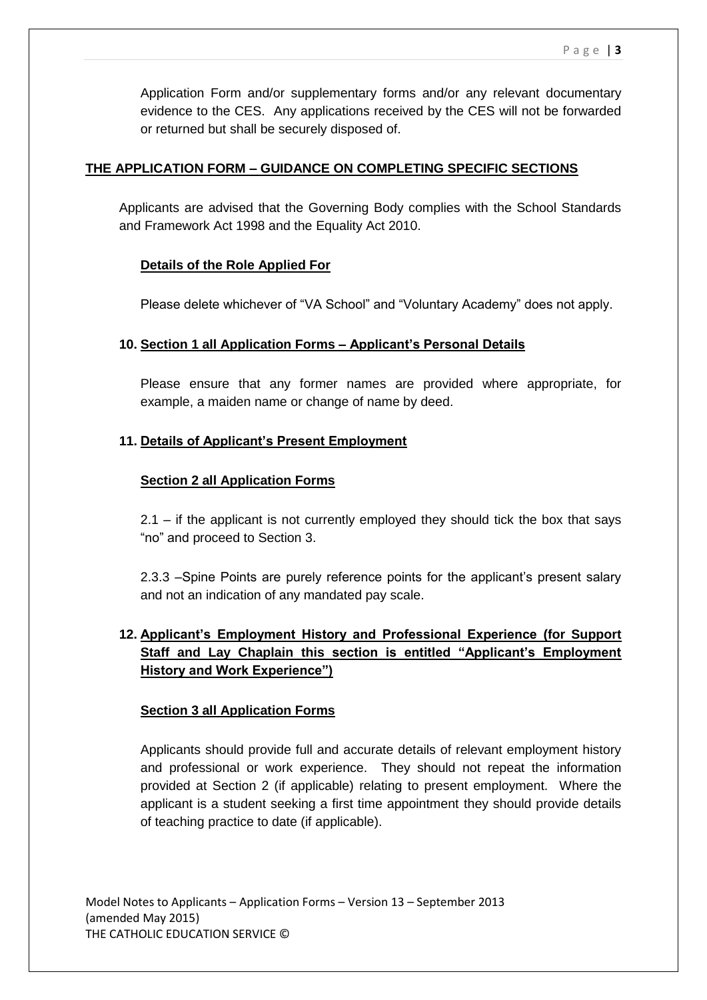Application Form and/or supplementary forms and/or any relevant documentary evidence to the CES. Any applications received by the CES will not be forwarded or returned but shall be securely disposed of.

## **THE APPLICATION FORM – GUIDANCE ON COMPLETING SPECIFIC SECTIONS**

Applicants are advised that the Governing Body complies with the School Standards and Framework Act 1998 and the Equality Act 2010.

## **Details of the Role Applied For**

Please delete whichever of "VA School" and "Voluntary Academy" does not apply.

### **10. Section 1 all Application Forms – Applicant's Personal Details**

Please ensure that any former names are provided where appropriate, for example, a maiden name or change of name by deed.

## **11. Details of Applicant's Present Employment**

### **Section 2 all Application Forms**

2.1 – if the applicant is not currently employed they should tick the box that says "no" and proceed to Section 3.

2.3.3 –Spine Points are purely reference points for the applicant's present salary and not an indication of any mandated pay scale.

# **12. Applicant's Employment History and Professional Experience (for Support Staff and Lay Chaplain this section is entitled "Applicant's Employment History and Work Experience")**

### **Section 3 all Application Forms**

Applicants should provide full and accurate details of relevant employment history and professional or work experience. They should not repeat the information provided at Section 2 (if applicable) relating to present employment. Where the applicant is a student seeking a first time appointment they should provide details of teaching practice to date (if applicable).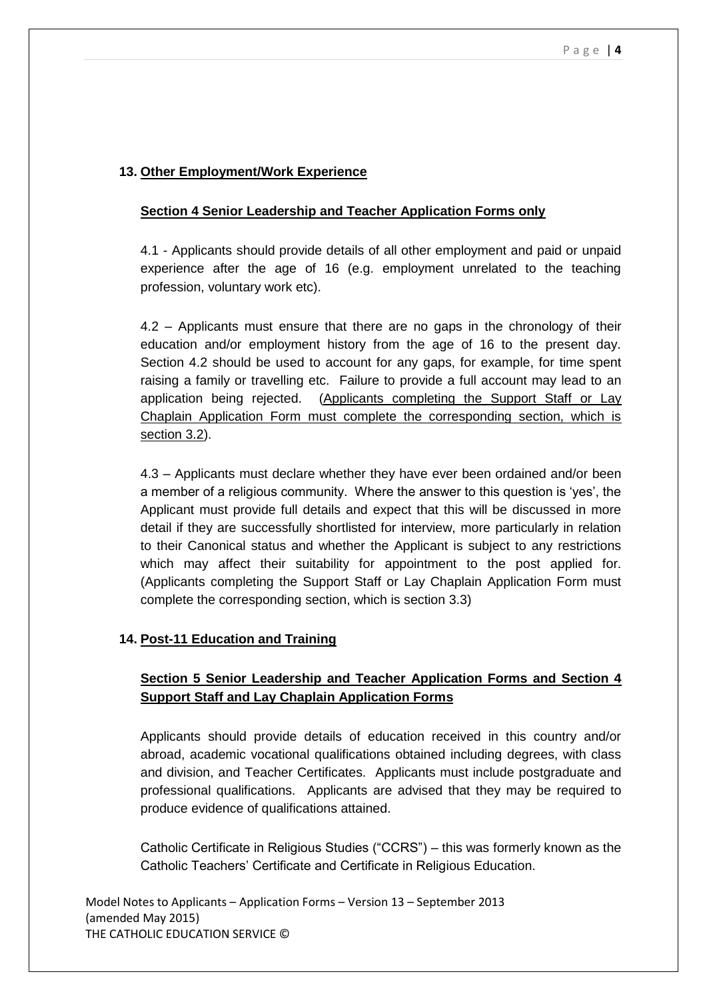# **13. Other Employment/Work Experience**

## **Section 4 Senior Leadership and Teacher Application Forms only**

4.1 - Applicants should provide details of all other employment and paid or unpaid experience after the age of 16 (e.g. employment unrelated to the teaching profession, voluntary work etc).

4.2 – Applicants must ensure that there are no gaps in the chronology of their education and/or employment history from the age of 16 to the present day. Section 4.2 should be used to account for any gaps, for example, for time spent raising a family or travelling etc. Failure to provide a full account may lead to an application being rejected. (Applicants completing the Support Staff or Lay Chaplain Application Form must complete the corresponding section, which is section 3.2).

4.3 – Applicants must declare whether they have ever been ordained and/or been a member of a religious community. Where the answer to this question is 'yes', the Applicant must provide full details and expect that this will be discussed in more detail if they are successfully shortlisted for interview, more particularly in relation to their Canonical status and whether the Applicant is subject to any restrictions which may affect their suitability for appointment to the post applied for. (Applicants completing the Support Staff or Lay Chaplain Application Form must complete the corresponding section, which is section 3.3)

# **14. Post-11 Education and Training**

# **Section 5 Senior Leadership and Teacher Application Forms and Section 4 Support Staff and Lay Chaplain Application Forms**

Applicants should provide details of education received in this country and/or abroad, academic vocational qualifications obtained including degrees, with class and division, and Teacher Certificates. Applicants must include postgraduate and professional qualifications. Applicants are advised that they may be required to produce evidence of qualifications attained.

Catholic Certificate in Religious Studies ("CCRS") – this was formerly known as the Catholic Teachers' Certificate and Certificate in Religious Education.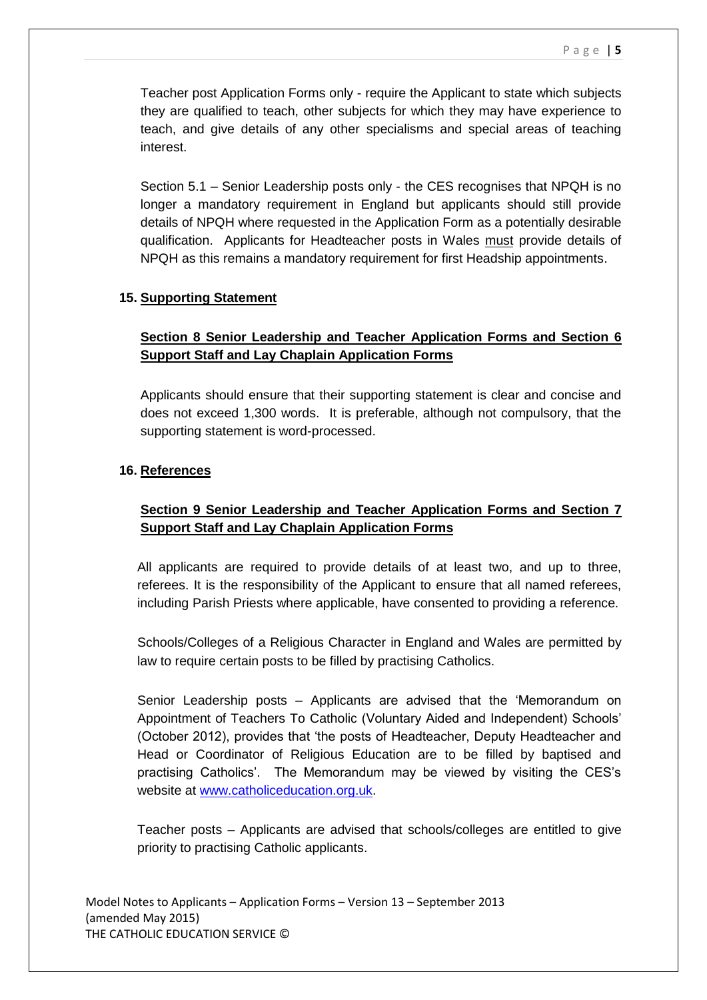Teacher post Application Forms only - require the Applicant to state which subjects they are qualified to teach, other subjects for which they may have experience to teach, and give details of any other specialisms and special areas of teaching interest.

Section 5.1 – Senior Leadership posts only - the CES recognises that NPQH is no longer a mandatory requirement in England but applicants should still provide details of NPQH where requested in the Application Form as a potentially desirable qualification. Applicants for Headteacher posts in Wales must provide details of NPQH as this remains a mandatory requirement for first Headship appointments.

### **15. Supporting Statement**

# **Section 8 Senior Leadership and Teacher Application Forms and Section 6 Support Staff and Lay Chaplain Application Forms**

Applicants should ensure that their supporting statement is clear and concise and does not exceed 1,300 words. It is preferable, although not compulsory, that the supporting statement is word-processed.

## **16. References**

# **Section 9 Senior Leadership and Teacher Application Forms and Section 7 Support Staff and Lay Chaplain Application Forms**

All applicants are required to provide details of at least two, and up to three, referees. It is the responsibility of the Applicant to ensure that all named referees, including Parish Priests where applicable, have consented to providing a reference.

Schools/Colleges of a Religious Character in England and Wales are permitted by law to require certain posts to be filled by practising Catholics.

Senior Leadership posts – Applicants are advised that the 'Memorandum on Appointment of Teachers To Catholic (Voluntary Aided and Independent) Schools' (October 2012), provides that 'the posts of Headteacher, Deputy Headteacher and Head or Coordinator of Religious Education are to be filled by baptised and practising Catholics'. The Memorandum may be viewed by visiting the CES's website at [www.catholiceducation.org.uk.](http://www.catholiceducation.org.uk/)

Teacher posts – Applicants are advised that schools/colleges are entitled to give priority to practising Catholic applicants.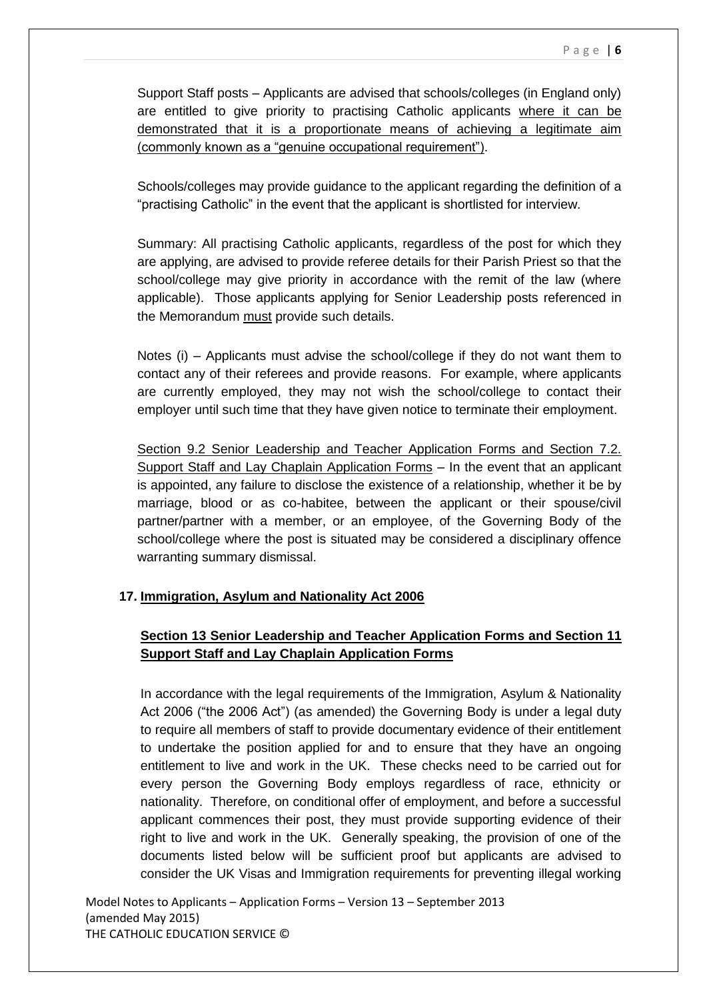Support Staff posts – Applicants are advised that schools/colleges (in England only) are entitled to give priority to practising Catholic applicants where it can be demonstrated that it is a proportionate means of achieving a legitimate aim (commonly known as a "genuine occupational requirement").

Schools/colleges may provide guidance to the applicant regarding the definition of a "practising Catholic" in the event that the applicant is shortlisted for interview.

Summary: All practising Catholic applicants, regardless of the post for which they are applying, are advised to provide referee details for their Parish Priest so that the school/college may give priority in accordance with the remit of the law (where applicable). Those applicants applying for Senior Leadership posts referenced in the Memorandum must provide such details.

Notes (i) – Applicants must advise the school/college if they do not want them to contact any of their referees and provide reasons. For example, where applicants are currently employed, they may not wish the school/college to contact their employer until such time that they have given notice to terminate their employment.

Section 9.2 Senior Leadership and Teacher Application Forms and Section 7.2. Support Staff and Lay Chaplain Application Forms – In the event that an applicant is appointed, any failure to disclose the existence of a relationship, whether it be by marriage, blood or as co-habitee, between the applicant or their spouse/civil partner/partner with a member, or an employee, of the Governing Body of the school/college where the post is situated may be considered a disciplinary offence warranting summary dismissal.

# **17. Immigration, Asylum and Nationality Act 2006**

# **Section 13 Senior Leadership and Teacher Application Forms and Section 11 Support Staff and Lay Chaplain Application Forms**

In accordance with the legal requirements of the Immigration, Asylum & Nationality Act 2006 ("the 2006 Act") (as amended) the Governing Body is under a legal duty to require all members of staff to provide documentary evidence of their entitlement to undertake the position applied for and to ensure that they have an ongoing entitlement to live and work in the UK. These checks need to be carried out for every person the Governing Body employs regardless of race, ethnicity or nationality. Therefore, on conditional offer of employment, and before a successful applicant commences their post, they must provide supporting evidence of their right to live and work in the UK. Generally speaking, the provision of one of the documents listed below will be sufficient proof but applicants are advised to consider the UK Visas and Immigration requirements for preventing illegal working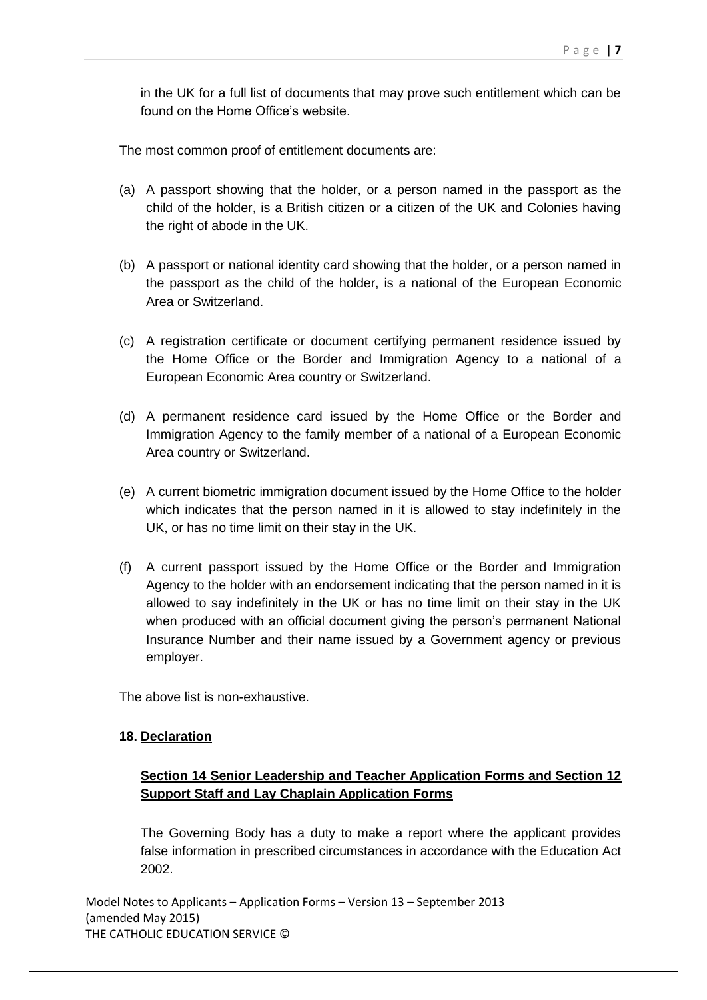in the UK for a full list of documents that may prove such entitlement which can be found on the Home Office's website.

The most common proof of entitlement documents are:

- (a) A passport showing that the holder, or a person named in the passport as the child of the holder, is a British citizen or a citizen of the UK and Colonies having the right of abode in the UK.
- (b) A passport or national identity card showing that the holder, or a person named in the passport as the child of the holder, is a national of the European Economic Area or Switzerland.
- (c) A registration certificate or document certifying permanent residence issued by the Home Office or the Border and Immigration Agency to a national of a European Economic Area country or Switzerland.
- (d) A permanent residence card issued by the Home Office or the Border and Immigration Agency to the family member of a national of a European Economic Area country or Switzerland.
- (e) A current biometric immigration document issued by the Home Office to the holder which indicates that the person named in it is allowed to stay indefinitely in the UK, or has no time limit on their stay in the UK.
- (f) A current passport issued by the Home Office or the Border and Immigration Agency to the holder with an endorsement indicating that the person named in it is allowed to say indefinitely in the UK or has no time limit on their stay in the UK when produced with an official document giving the person's permanent National Insurance Number and their name issued by a Government agency or previous employer.

The above list is non-exhaustive.

### **18. Declaration**

# **Section 14 Senior Leadership and Teacher Application Forms and Section 12 Support Staff and Lay Chaplain Application Forms**

The Governing Body has a duty to make a report where the applicant provides false information in prescribed circumstances in accordance with the Education Act 2002.